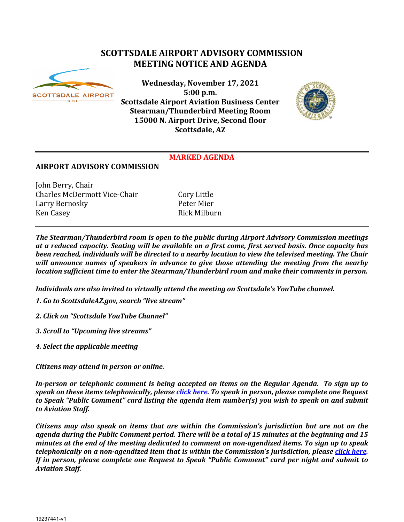# **SCOTTSDALE AIRPORT ADVISORY COMMISSION MEETING NOTICE AND AGENDA**



**Wednesday, November 17, 2021 5:00 p.m. Scottsdale Airport Aviation Business Center Stearman/Thunderbird Meeting Room 15000 N. Airport Drive, Second floor Scottsdale, AZ**



## **MARKED AGENDA**

## **AIRPORT ADVISORY COMMISSION**

John Berry, Chair Charles McDermott Vice-Chair Cory Little Larry Bernosky Peter Mier Ken Casey

*The Stearman/Thunderbird room is open to the public during Airport Advisory Commission meetings at a reduced capacity. Seating will be available on a first come, first served basis. Once capacity has been reached, individuals will be directed to a nearby location to view the televised meeting. The Chair will announce names of speakers in advance to give those attending the meeting from the nearby location sufficient time to enter the Stearman/Thunderbird room and make their comments in person.*

*Individuals are also invited to virtually attend the meeting on Scottsdale's YouTube channel.*

- *1. Go to ScottsdaleAZ.gov, search "live stream"*
- *2. Click on "Scottsdale YouTube Channel"*
- *3. Scroll to "Upcoming live streams"*
- *4. Select the applicable meeting*

*Citizens may attend in person or online.* 

*In-person or telephonic comment is being accepted on items on the Regular Agenda. To sign up to speak on these items telephonically, please [click here.](https://www.scottsdaleaz.gov/boards/airport-advisory-commission/spoken-comment) To speak in person, please complete one Request to Speak "Public Comment" card listing the agenda item number(s) you wish to speak on and submit to Aviation Staff.*

*Citizens may also speak on items that are within the Commission's jurisdiction but are not on the agenda during the Public Comment period. There will be a total of 15 minutes at the beginning and 15 minutes at the end of the meeting dedicated to comment on non-agendized items. To sign up to speak telephonically on a non-agendized item that is within the Commission's jurisdiction, please [click here.](https://www.scottsdaleaz.gov/boards/airport-advisory-commission/spoken-comment)  If in person, please complete one Request to Speak "Public Comment" card per night and submit to Aviation Staff.*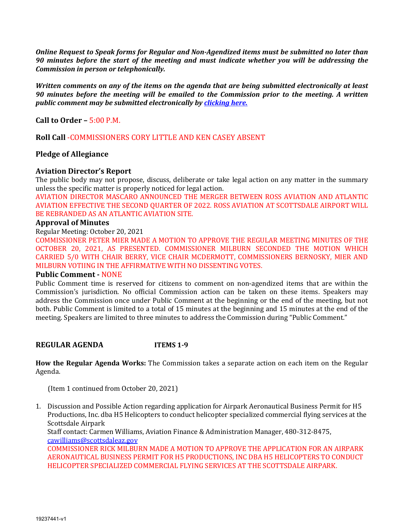*Online Request to Speak forms for Regular and Non-Agendized items must be submitted no later than 90 minutes before the start of the meeting and must indicate whether you will be addressing the Commission in person or telephonically.* 

*Written comments on any of the items on the agenda that are being submitted electronically at least 90 minutes before the meeting will be emailed to the Commission prior to the meeting. A written public comment may be submitted electronically b[y clicking here.](https://www.scottsdaleaz.gov/boards/airport-advisory-commission/public-comment)*

**Call to Order –** 5:00 P.M.

**Roll Call** -COMMISSIONERS CORY LITTLE AND KEN CASEY ABSENT

## **Pledge of Allegiance**

### **Aviation Director's Report**

The public body may not propose, discuss, deliberate or take legal action on any matter in the summary unless the specific matter is properly noticed for legal action.

AVIATION DIRECTOR MASCARO ANNOUNCED THE MERGER BETWEEN ROSS AVIATION AND ATLANTIC AVIATION EFFECTIVE THE SECOND QUARTER OF 2022. ROSS AVIATION AT SCOTTSDALE AIRPORT WILL BE REBRANDED AS AN ATLANTIC AVIATION SITE.

#### **Approval of Minutes**

Regular Meeting: October 20, 2021

COMMISSIONER PETER MIER MADE A MOTION TO APPROVE THE REGULAR MEETING MINUTES OF THE OCTOBER 20, 2021, AS PRESENTED. COMMISSIONER MILBURN SECONDED THE MOTION WHICH CARRIED 5/0 WITH CHAIR BERRY, VICE CHAIR MCDERMOTT, COMMISSIONERS BERNOSKY, MIER AND MILBURN VOTIING IN THE AFFIRMATIVE WITH NO DISSENTING VOTES.

#### **Public Comment -** NONE

Public Comment time is reserved for citizens to comment on non-agendized items that are within the Commission's jurisdiction. No official Commission action can be taken on these items. Speakers may address the Commission once under Public Comment at the beginning or the end of the meeting, but not both. Public Comment is limited to a total of 15 minutes at the beginning and 15 minutes at the end of the meeting. Speakers are limited to three minutes to address the Commission during "Public Comment."

**REGULAR AGENDA ITEMS 1-9**

**How the Regular Agenda Works:** The Commission takes a separate action on each item on the Regular Agenda.

(Item 1 continued from October 20, 2021)

1. Discussion and Possible Action regarding application for Airpark Aeronautical Business Permit for H5 Productions, Inc. dba H5 Helicopters to conduct helicopter specialized commercial flying services at the Scottsdale Airpark

Staff contact: Carmen Williams, Aviation Finance & Administration Manager, 480-312-8475, [cawilliams@scottsdaleaz.gov](mailto:cawilliams@scottsdaleaz.gov)

COMMISSIONER RICK MILBURN MADE A MOTION TO APPROVE THE APPLICATION FOR AN AIRPARK AERONAUTICAL BUSINESS PERMIT FOR H5 PRODUCTIONS, INC DBA H5 HELICOPTERS TO CONDUCT HELICOPTER SPECIALIZED COMMERCIAL FLYING SERVICES AT THE SCOTTSDALE AIRPARK.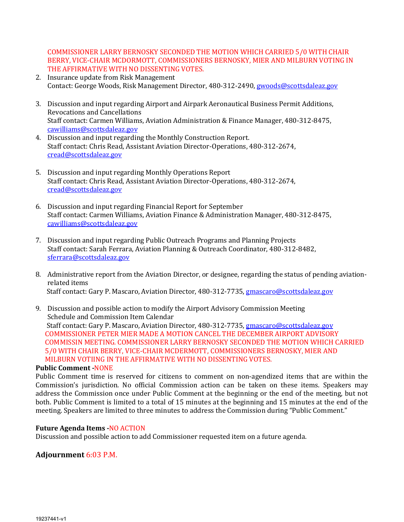COMMISSIONER LARRY BERNOSKY SECONDED THE MOTION WHICH CARRIED 5/0 WITH CHAIR BERRY, VICE-CHAIR MCDORMOTT, COMMISSIONERS BERNOSKY, MIER AND MILBURN VOTING IN THE AFFIRMATIVE WITH NO DISSENTING VOTES.

- 2. Insurance update from Risk Management Contact: George Woods, Risk Management Director, 480-312-2490, [gwoods@scottsdaleaz.gov](mailto:gwoods@scottsdaleaz.gov)
- 3. Discussion and input regarding Airport and Airpark Aeronautical Business Permit Additions, Revocations and Cancellations Staff contact: Carmen Williams, Aviation Administration & Finance Manager, 480-312-8475, [cawilliams@scottsdaleaz.gov](mailto:cawilliams@scottsdaleaz.gov)
- 4. Discussion and input regarding the Monthly Construction Report. Staff contact: Chris Read, Assistant Aviation Director-Operations, 480-312-2674, [cread@scottsdaleaz.gov](mailto:cread@scottsdaleaz.gov)
- 5. Discussion and input regarding Monthly Operations Report Staff contact: Chris Read, Assistant Aviation Director-Operations, 480-312-2674, [cread@scottsdaleaz.gov](mailto:cread@scottsdaleaz.gov)
- 6. Discussion and input regarding Financial Report for September Staff contact: Carmen Williams, Aviation Finance & Administration Manager, 480-312-8475, [cawilliams@scottsdaleaz.gov](mailto:cawilliams@scottsdaleaz.gov)
- 7. Discussion and input regarding Public Outreach Programs and Planning Projects Staff contact: Sarah Ferrara, Aviation Planning & Outreach Coordinator, 480-312-8482, [sferrara@scottsdaleaz.gov](mailto:sferrara@scottsdaleaz.gov)
- 8. Administrative report from the Aviation Director, or designee, regarding the status of pending aviationrelated items Staff contact: Gary P. Mascaro, Aviation Director, 480-312-7735, [gmascaro@scottsdaleaz.gov](mailto:gmascaro@scottsdaleaz.gov)
- 9. Discussion and possible action to modify the Airport Advisory Commission Meeting Schedule and Commission Item Calendar Staff contact: Gary P. Mascaro, Aviation Director, 480-312-7735, [gmascaro@scottsdaleaz.gov](mailto:gmascaro@scottsdaleaz.gov) COMMISSIONER PETER MIER MADE A MOTION CANCEL THE DECEMBER AIRPORT ADVISORY COMMISSIN MEETING. COMMISSIONER LARRY BERNOSKY SECONDED THE MOTION WHICH CARRIED 5/0 WITH CHAIR BERRY, VICE-CHAIR MCDERMOTT, COMMISSIONERS BERNOSKY, MIER AND MILBURN VOTIING IN THE AFFIRMATIVE WITH NO DISSENTING VOTES.

#### **Public Comment -**NONE

Public Comment time is reserved for citizens to comment on non-agendized items that are within the Commission's jurisdiction. No official Commission action can be taken on these items. Speakers may address the Commission once under Public Comment at the beginning or the end of the meeting, but not both. Public Comment is limited to a total of 15 minutes at the beginning and 15 minutes at the end of the meeting. Speakers are limited to three minutes to address the Commission during "Public Comment."

#### **Future Agenda Items -**NO ACTION

Discussion and possible action to add Commissioner requested item on a future agenda.

## **Adjournment** 6:03 P.M.